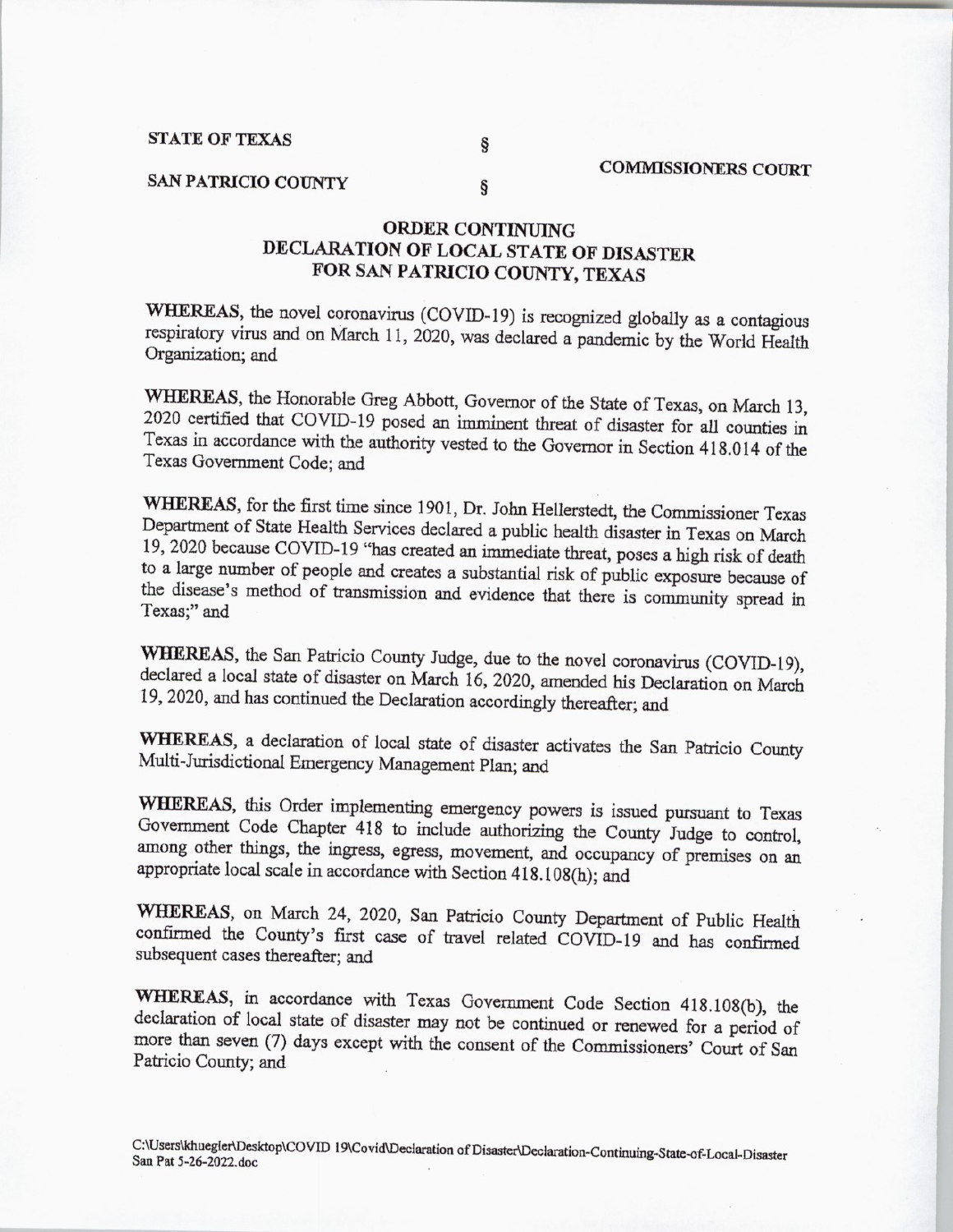## STATE OF TEXAS

ş

ş

## SAN PATRICIO COUNTY

## ORDER CONTINUING DECLARATION OF LOCAL STATE OF DISASTER FOR SAN PATRICIO COUNTY, TEXAS

WHEREAS, the novel coronavirus (COVID-19) is recognized globally as a contagious respiratory virus and on March 11, 2020, was declared a pandemic by the World Health Organization; and

WHEREAS, the Honorable Greg Abbott, Governor of the State of Texas, on March 13, 2020 certified that COVID- <sup>19</sup> posed an imminent threat of disaster for all counties in Texas in accordance with the authority vested to the Governor in Section 418. 014 of the Texas Government Code; and

WHEREAS, for the first time since 1901, Dr. John Hellerstedt, the Commissioner Texas Department of State Health Services declared <sup>a</sup> public health disaster in Texas on March 19, 2020 because COVID-19 "has created an immediate threat, poses a high risk of death to a large number of people and creates <sup>a</sup> substantial risk of public exposure because of the disease's method of transmission and evidence that there is community spread in Texas;" and

WHEREAS, the San Patricio County Judge, due to the novel coronavirus (COVID-19), declared <sup>a</sup> local state of disaster on March 16, 2020, amended his Declaration on March 19, 2020, and has continued the Declaration accordingly thereafter; and

WHEREAS, a declaration of local state of disaster activates the San Patricio County Multi-Jurisdictional Emergency Management Plan; and

WHEREAS, this Order implementing emergency powers is issued pursuant to Texas Government Code Chapter 418 to include authorizing the County Judge to control, among other things, the ingress, egress, movement, and occupancy of premises on an appropriate local scale in accordance with Section 418.108(h); and

WHEREAS, on March 24, 2020, San Patricio County Department of Public Health confirmed the County's first case of travel related COVID-19 and has confirmed subsequent cases thereafter; and

WHEREAS, in accordance with Texas Government Code Section 418.108(b), the declaration of local state of disaster may not be continued or renewed for a period of more than seven (7) days except with the consent of the Commissioners' Court of San Patricio County; and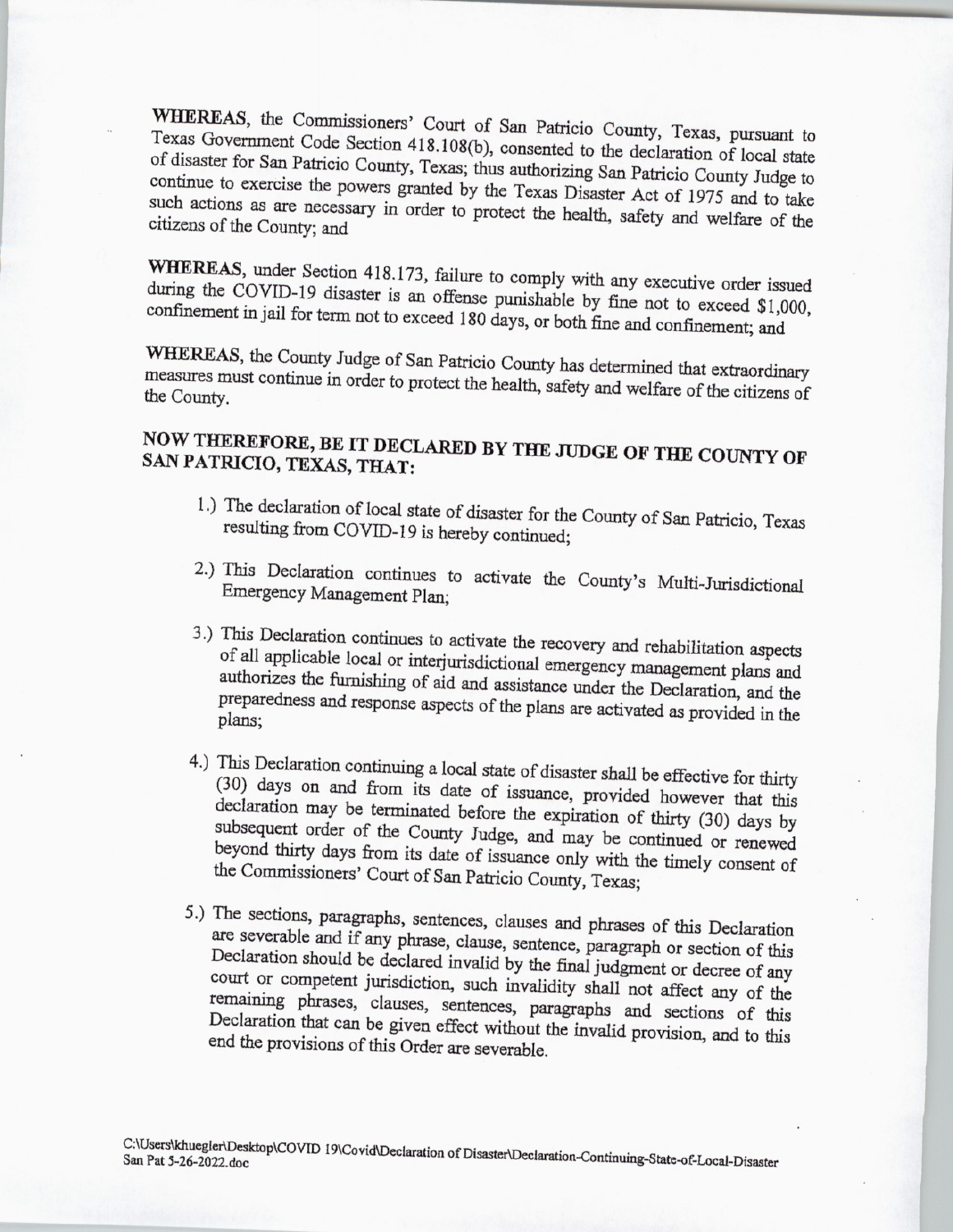WHEREAS, the Commissioners' Court of San Patricio County, Texas, pursuant to Texas Government Code Section 418.108(b), consented to the declaration of local state of disaster for San Patricio County, Texas; thus authorizing San Patricio County Judge to continue to exercise the powers granted by the Texas Disaster Act of 1975 and to take such actions as are necessary in order to protect the health, safety and welfare of the citizens of the County; and

WHEREAS, under Section 418. 173, failure to comply with any executive order issued during the COVID-19 disaster is an offense punishable by fine not to exceed \$1,000, confinement in jail for term not to exceed 180 days, or both fine and confinement; and

measures must continue in order to protect the bealth extraordinary measures must continue in order to protect the bealth extraordinary measures must continue in order to protect the health, safety and welfare ofthe citizens of the County.

## NOW THEREFORE, BE IT DECLARED BY THE JUDGE OF THE COUNTY OF SAN PATRICIO, TEXAS, THAT:

- 1.) The declaration of local state of disaster for the County of San Patricio, Texas resulting from COVID-19 is hereby continued;
- 2.) This Declaration continues to activate the County's Multi-Jurisdictional Emergency Management Plan:
- 3.) This Declaration continues to activate the recovery and rehabilitation aspects of all applicable local or interjurisdictional emergency management plans and authorizes the furnishing of aid and assistance under the Declaration, and the preparedness and response aspects of the plans are activated as provided in the plans;
- $(30)$  days on and from its date of issues  $(30)$  days on and from its date of issues  $\frac{1}{2}$  for and from its date of issuance, provided however that this subsequent order of the County Indee and  $\frac{1}{2}$  may be thirty (30) days by subsequent order of the County Judge, and may be continued or renewed beyond thirty days from its date of issuance only with the timely consent of the Commissioners' Court of San Patricio County, Texas;
- 5.) The sections, paragraphs, sentences, clauses and phrases of this Declaration are severable and if any phrase, clause, sentence, paragraph or section of this court or competent jurisdiction, such invalidity shall not affect any of the remaining phrases clauses contours. remaining phrases, clauses, sentences, paragraphs and sections of this Declaration that can be given effect without the invalid provision, and to this end the provisions of this Order are severable.